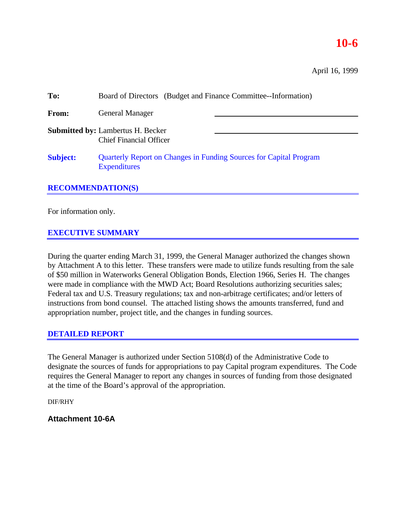# **10-6**

| To:             | Board of Directors (Budget and Finance Committee--Information)                            |  |  |  |
|-----------------|-------------------------------------------------------------------------------------------|--|--|--|
| From:           | <b>General Manager</b>                                                                    |  |  |  |
|                 | <b>Submitted by: Lambertus H. Becker</b><br><b>Chief Financial Officer</b>                |  |  |  |
| <b>Subject:</b> | Quarterly Report on Changes in Funding Sources for Capital Program<br><b>Expenditures</b> |  |  |  |

### **RECOMMENDATION(S)**

For information only.

## **EXECUTIVE SUMMARY**

During the quarter ending March 31, 1999, the General Manager authorized the changes shown by Attachment A to this letter. These transfers were made to utilize funds resulting from the sale of \$50 million in Waterworks General Obligation Bonds, Election 1966, Series H. The changes were made in compliance with the MWD Act; Board Resolutions authorizing securities sales; Federal tax and U.S. Treasury regulations; tax and non-arbitrage certificates; and/or letters of instructions from bond counsel. The attached listing shows the amounts transferred, fund and appropriation number, project title, and the changes in funding sources.

### **DETAILED REPORT**

The General Manager is authorized under Section 5108(d) of the Administrative Code to designate the sources of funds for appropriations to pay Capital program expenditures. The Code requires the General Manager to report any changes in sources of funding from those designated at the time of the Board's approval of the appropriation.

DIF/RHY

### **Attachment 10-6A**